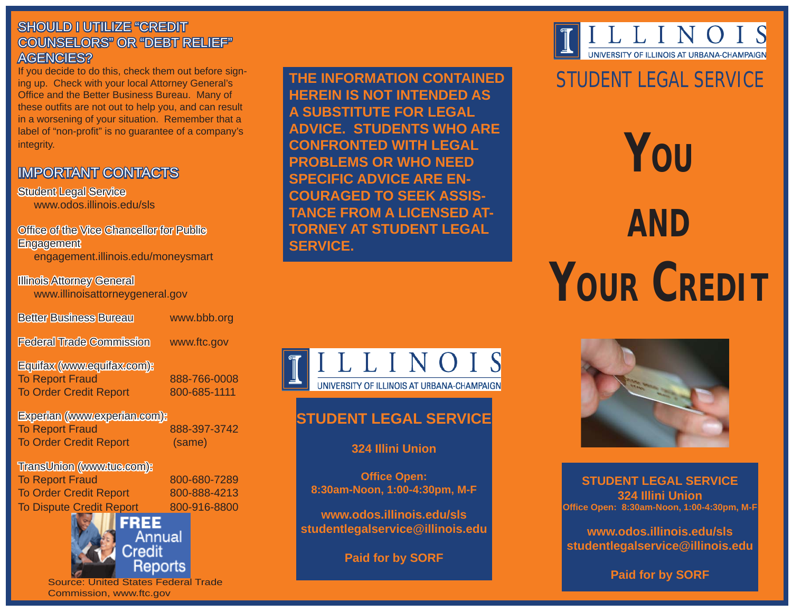#### SHOULD I UTILIZE "CREDIT COUNSELORS" OR "DEBT RELIEF" **AGENCIES?**

If you decide to do this, check them out before signing up. Check with your local Attorney General's Office and the Better Business Bureau. Many of these outfits are not out to help you, and can result in a worsening of your situation. Remember that a label of "non-profit" is no guarantee of a company's integrity.

#### IMPORTANT CONTACTS

**Student Legal Service** www.odos.illinois.edu/sls

#### Office of the Vice Chancellor for Public **Engagement**

engagement.illinois.edu/moneysmart

#### **Illinois Attorney General** www.illinoisattorneygeneral.gov

Better Business Bureau www.bbb.org

Federal Trade Commission www.ftc.gov

#### Equifax (www.equifax.com): To Report Fraud 888-766-0008 To Order Credit Report 800-685-1111

#### Experian (www.experian.com):

To Report Fraud 888-397-3742 To Order Credit Report (same)

### TransUnion (www.tuc.com):

To Report Fraud 800-680-7289 To Order Credit Report 800-888-4213 To Dispute Credit Report 800-916-8800





**THE INFORMATION CONTAINED HEREIN IS NOT INTENDED AS A SUBSTITUTE FOR LEGAL ADVICE. STUDENTS WHO ARE CONFRONTED WITH LEGAL PROBLEMS OR WHO NEED SPECIFIC ADVICE ARE EN-COURAGED TO SEEK ASSIS-TANCE FROM A LICENSED AT-TORNEY AT STUDENT LEGAL SERVICE.**



STUDENT LEGAL SERVICE

# **YOUANDYOUR CREDIT**



# **STUDENT LEGAL SERVICE**

**324 Illini Union**

**Office Open: 8:30am-Noon, 1:00-4:30pm, M-F**

**www.odos.illinois.edu/slsstudentlegalservice@illinois.edu**

**Paid for by SORF**



**STUDENT LEGAL SERVICE324 Illini UnionOffi ce Open: 8:30am-Noon, 1:00-4:30pm, M-F**

**www.odos.illinois.edu/slsstudentlegalservice@illinois.edu**

**Paid for by SORF**